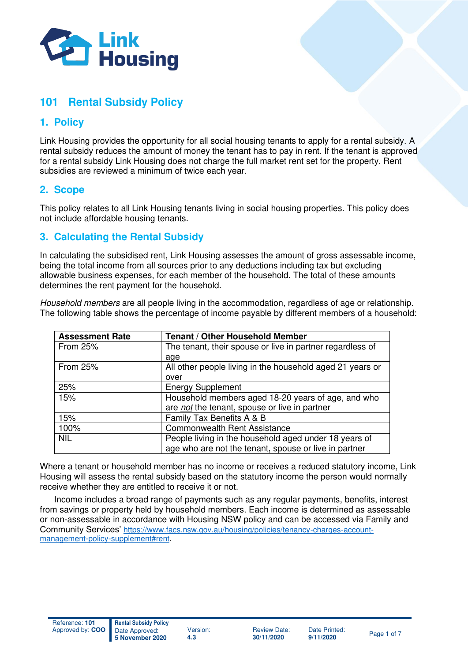

# **101 Rental Subsidy Policy**

# **1. Policy**

Link Housing provides the opportunity for all social housing tenants to apply for a rental subsidy. A rental subsidy reduces the amount of money the tenant has to pay in rent. If the tenant is approved for a rental subsidy Link Housing does not charge the full market rent set for the property. Rent subsidies are reviewed a minimum of twice each year.

### **2. Scope**

This policy relates to all Link Housing tenants living in social housing properties. This policy does not include affordable housing tenants.

# **3. Calculating the Rental Subsidy**

In calculating the subsidised rent, Link Housing assesses the amount of gross assessable income, being the total income from all sources prior to any deductions including tax but excluding allowable business expenses, for each member of the household. The total of these amounts determines the rent payment for the household.

Household members are all people living in the accommodation, regardless of age or relationship. The following table shows the percentage of income payable by different members of a household:

| <b>Assessment Rate</b> | <b>Tenant / Other Household Member</b>                    |
|------------------------|-----------------------------------------------------------|
| <b>From 25%</b>        | The tenant, their spouse or live in partner regardless of |
|                        | age                                                       |
| <b>From 25%</b>        | All other people living in the household aged 21 years or |
|                        | over                                                      |
| 25%                    | <b>Energy Supplement</b>                                  |
| 15%                    | Household members aged 18-20 years of age, and who        |
|                        | are not the tenant, spouse or live in partner             |
| 15%                    | Family Tax Benefits A & B                                 |
| 100%                   | <b>Commonwealth Rent Assistance</b>                       |
| <b>NIL</b>             | People living in the household aged under 18 years of     |
|                        | age who are not the tenant, spouse or live in partner     |

Where a tenant or household member has no income or receives a reduced statutory income, Link Housing will assess the rental subsidy based on the statutory income the person would normally receive whether they are entitled to receive it or not.

Income includes a broad range of payments such as any regular payments, benefits, interest from savings or property held by household members. Each income is determined as assessable or non-assessable in accordance with Housing NSW policy and can be accessed via Family and Community Services' [https://www.facs.nsw.gov.au/housing/policies/tenancy-charges-account](https://www.facs.nsw.gov.au/housing/policies/tenancy-charges-account-management-policy-supplement#rent)[management-policy-supplement#rent.](https://www.facs.nsw.gov.au/housing/policies/tenancy-charges-account-management-policy-supplement#rent)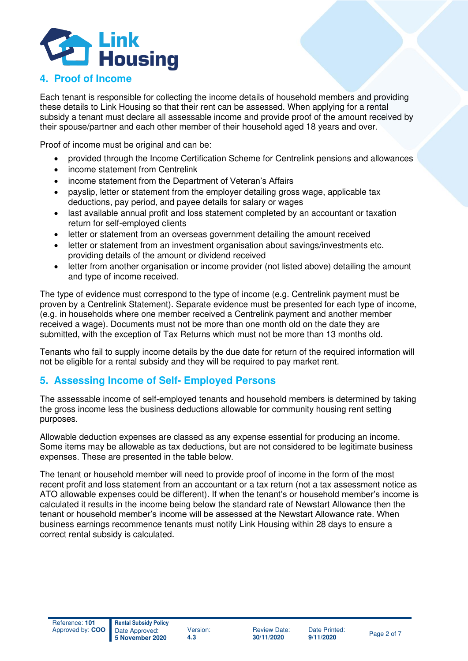

#### **4. Proof of Income**

Each tenant is responsible for collecting the income details of household members and providing these details to Link Housing so that their rent can be assessed. When applying for a rental subsidy a tenant must declare all assessable income and provide proof of the amount received by their spouse/partner and each other member of their household aged 18 years and over.

Proof of income must be original and can be:

- provided through the Income Certification Scheme for Centrelink pensions and allowances
- income statement from Centrelink
- income statement from the Department of Veteran's Affairs
- payslip, letter or statement from the employer detailing gross wage, applicable tax deductions, pay period, and payee details for salary or wages
- last available annual profit and loss statement completed by an accountant or taxation return for self-employed clients
- letter or statement from an overseas government detailing the amount received
- letter or statement from an investment organisation about savings/investments etc. providing details of the amount or dividend received
- letter from another organisation or income provider (not listed above) detailing the amount and type of income received.

The type of evidence must correspond to the type of income (e.g. Centrelink payment must be proven by a Centrelink Statement). Separate evidence must be presented for each type of income, (e.g. in households where one member received a Centrelink payment and another member received a wage). Documents must not be more than one month old on the date they are submitted, with the exception of Tax Returns which must not be more than 13 months old.

Tenants who fail to supply income details by the due date for return of the required information will not be eligible for a rental subsidy and they will be required to pay market rent.

# **5. Assessing Income of Self- Employed Persons**

The assessable income of self-employed tenants and household members is determined by taking the gross income less the business deductions allowable for community housing rent setting purposes.

Allowable deduction expenses are classed as any expense essential for producing an income. Some items may be allowable as tax deductions, but are not considered to be legitimate business expenses. These are presented in the table below.

The tenant or household member will need to provide proof of income in the form of the most recent profit and loss statement from an accountant or a tax return (not a tax assessment notice as ATO allowable expenses could be different). If when the tenant's or household member's income is calculated it results in the income being below the standard rate of Newstart Allowance then the tenant or household member's income will be assessed at the Newstart Allowance rate. When business earnings recommence tenants must notify Link Housing within 28 days to ensure a correct rental subsidy is calculated.



Review Date: **30/11/2020** 

Date Printed:<br>9/11/2020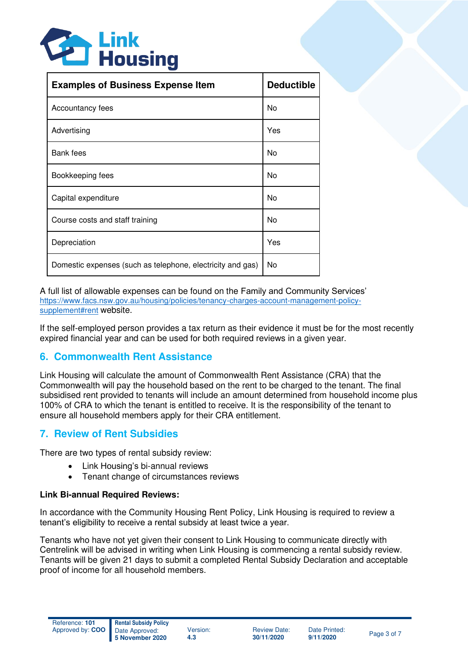

| <b>Examples of Business Expense Item</b>                   | <b>Deductible</b> |
|------------------------------------------------------------|-------------------|
| Accountancy fees                                           | No                |
| Advertising                                                | Yes               |
| Bank fees                                                  | No                |
| Bookkeeping fees                                           | No                |
| Capital expenditure                                        | No                |
| Course costs and staff training                            | No                |
| Depreciation                                               | Yes               |
| Domestic expenses (such as telephone, electricity and gas) | No                |

A full list of allowable expenses can be found on the Family and Community Services' [https://www.facs.nsw.gov.au/housing/policies/tenancy-charges-account-management-policy](https://www.facs.nsw.gov.au/housing/policies/tenancy-charges-account-management-policy-supplement#rent)[supplement#rent](https://www.facs.nsw.gov.au/housing/policies/tenancy-charges-account-management-policy-supplement#rent) website.

If the self-employed person provides a tax return as their evidence it must be for the most recently expired financial year and can be used for both required reviews in a given year.

### **6. Commonwealth Rent Assistance**

Link Housing will calculate the amount of Commonwealth Rent Assistance (CRA) that the Commonwealth will pay the household based on the rent to be charged to the tenant. The final subsidised rent provided to tenants will include an amount determined from household income plus 100% of CRA to which the tenant is entitled to receive. It is the responsibility of the tenant to ensure all household members apply for their CRA entitlement.

# **7. Review of Rent Subsidies**

There are two types of rental subsidy review:

- Link Housing's bi-annual reviews
- Tenant change of circumstances reviews

#### **Link Bi-annual Required Reviews:**

In accordance with the Community Housing Rent Policy, Link Housing is required to review a tenant's eligibility to receive a rental subsidy at least twice a year.

Tenants who have not yet given their consent to Link Housing to communicate directly with Centrelink will be advised in writing when Link Housing is commencing a rental subsidy review. Tenants will be given 21 days to submit a completed Rental Subsidy Declaration and acceptable proof of income for all household members.

Review Date: **30/11/2020**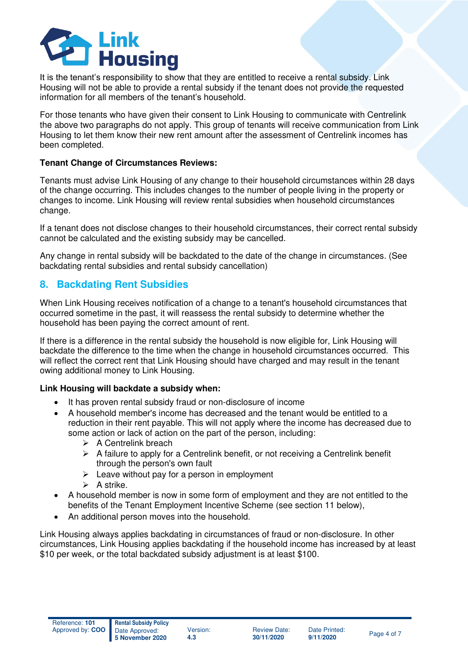

It is the tenant's responsibility to show that they are entitled to receive a rental subsidy. Link Housing will not be able to provide a rental subsidy if the tenant does not provide the requested information for all members of the tenant's household.

For those tenants who have given their consent to Link Housing to communicate with Centrelink the above two paragraphs do not apply. This group of tenants will receive communication from Link Housing to let them know their new rent amount after the assessment of Centrelink incomes has been completed.

#### **Tenant Change of Circumstances Reviews:**

Tenants must advise Link Housing of any change to their household circumstances within 28 days of the change occurring. This includes changes to the number of people living in the property or changes to income. Link Housing will review rental subsidies when household circumstances change.

If a tenant does not disclose changes to their household circumstances, their correct rental subsidy cannot be calculated and the existing subsidy may be cancelled.

Any change in rental subsidy will be backdated to the date of the change in circumstances. (See backdating rental subsidies and rental subsidy cancellation)

### **8. Backdating Rent Subsidies**

When Link Housing receives notification of a change to a tenant's household circumstances that occurred sometime in the past, it will reassess the rental subsidy to determine whether the household has been paying the correct amount of rent.

If there is a difference in the rental subsidy the household is now eligible for, Link Housing will backdate the difference to the time when the change in household circumstances occurred. This will reflect the correct rent that Link Housing should have charged and may result in the tenant owing additional money to Link Housing.

#### **Link Housing will backdate a subsidy when:**

- It has proven rental subsidy fraud or non-disclosure of income
- A household member's income has decreased and the tenant would be entitled to a reduction in their rent payable. This will not apply where the income has decreased due to some action or lack of action on the part of the person, including:
	- ➢ A Centrelink breach
	- $\triangleright$  A failure to apply for a Centrelink benefit, or not receiving a Centrelink benefit through the person's own fault
	- $\triangleright$  Leave without pay for a person in employment
	- $\triangleright$  A strike.
- A household member is now in some form of employment and they are not entitled to the benefits of the Tenant Employment Incentive Scheme (see section 11 below),
- An additional person moves into the household.

Link Housing always applies backdating in circumstances of fraud or non-disclosure. In other circumstances, Link Housing applies backdating if the household income has increased by at least \$10 per week, or the total backdated subsidy adjustment is at least \$100.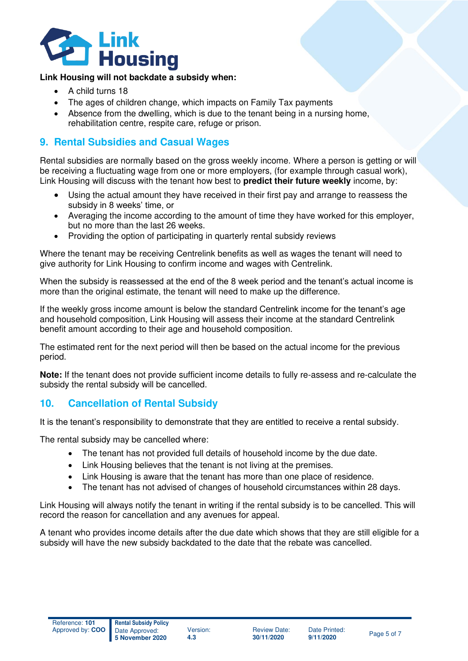

#### **Link Housing will not backdate a subsidy when:**

- A child turns 18
- The ages of children change, which impacts on Family Tax payments
- Absence from the dwelling, which is due to the tenant being in a nursing home, rehabilitation centre, respite care, refuge or prison.

### **9. Rental Subsidies and Casual Wages**

Rental subsidies are normally based on the gross weekly income. Where a person is getting or will be receiving a fluctuating wage from one or more employers, (for example through casual work), Link Housing will discuss with the tenant how best to **predict their future weekly** income, by:

- Using the actual amount they have received in their first pay and arrange to reassess the subsidy in 8 weeks' time, or
- Averaging the income according to the amount of time they have worked for this employer, but no more than the last 26 weeks.
- Providing the option of participating in quarterly rental subsidy reviews

Where the tenant may be receiving Centrelink benefits as well as wages the tenant will need to give authority for Link Housing to confirm income and wages with Centrelink.

When the subsidy is reassessed at the end of the 8 week period and the tenant's actual income is more than the original estimate, the tenant will need to make up the difference.

If the weekly gross income amount is below the standard Centrelink income for the tenant's age and household composition, Link Housing will assess their income at the standard Centrelink benefit amount according to their age and household composition.

The estimated rent for the next period will then be based on the actual income for the previous period.

**Note:** If the tenant does not provide sufficient income details to fully re-assess and re-calculate the subsidy the rental subsidy will be cancelled.

# **10. Cancellation of Rental Subsidy**

It is the tenant's responsibility to demonstrate that they are entitled to receive a rental subsidy.

The rental subsidy may be cancelled where:

- The tenant has not provided full details of household income by the due date.
- Link Housing believes that the tenant is not living at the premises.
- Link Housing is aware that the tenant has more than one place of residence.
- The tenant has not advised of changes of household circumstances within 28 days.

Link Housing will always notify the tenant in writing if the rental subsidy is to be cancelled. This will record the reason for cancellation and any avenues for appeal.

A tenant who provides income details after the due date which shows that they are still eligible for a subsidy will have the new subsidy backdated to the date that the rebate was cancelled.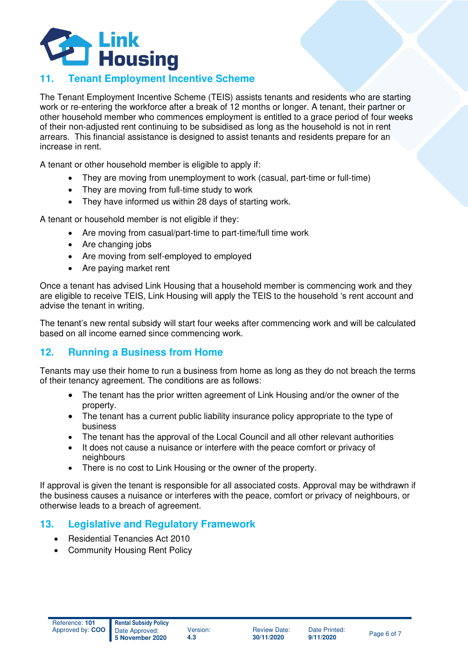

# **11. Tenant Employment Incentive Scheme**

The Tenant Employment Incentive Scheme (TEIS) assists tenants and residents who are starting work or re-entering the workforce after a break of 12 months or longer. A tenant, their partner or other household member who commences employment is entitled to a grace period of four weeks of their non-adjusted rent continuing to be subsidised as long as the household is not in rent arrears. This financial assistance is designed to assist tenants and residents prepare for an increase in rent.

A tenant or other household member is eligible to apply if:

- They are moving from unemployment to work (casual, part-time or full-time)
- They are moving from full-time study to work
- They have informed us within 28 days of starting work.

A tenant or household member is not eligible if they:

- Are moving from casual/part-time to part-time/full time work
- Are changing jobs
- Are moving from self-employed to employed
- Are paying market rent

Once a tenant has advised Link Housing that a household member is commencing work and they are eligible to receive TEIS, Link Housing will apply the TEIS to the household 's rent account and advise the tenant in writing.

The tenant's new rental subsidy will start four weeks after commencing work and will be calculated based on all income earned since commencing work.

### **12. Running a Business from Home**

Tenants may use their home to run a business from home as long as they do not breach the terms of their tenancy agreement. The conditions are as follows:

- The tenant has the prior written agreement of Link Housing and/or the owner of the property.
- The tenant has a current public liability insurance policy appropriate to the type of business
- The tenant has the approval of the Local Council and all other relevant authorities
- It does not cause a nuisance or interfere with the peace comfort or privacy of neighbours
- There is no cost to Link Housing or the owner of the property.

If approval is given the tenant is responsible for all associated costs. Approval may be withdrawn if the business causes a nuisance or interferes with the peace, comfort or privacy of neighbours, or otherwise leads to a breach of agreement.

### **13. Legislative and Regulatory Framework**

- Residential Tenancies Act 2010
- **Community Housing Rent Policy**